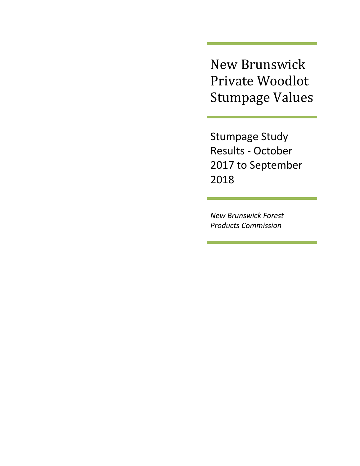New Brunswick Private Woodlot Stumpage Values

Stumpage Study Results - October 2017 to September 2018

*New Brunswick Forest Products Commission*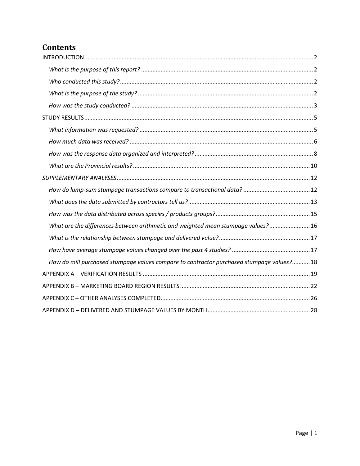# **Contents**

| What are the differences between arithmetic and weighted mean stumpage values? 16         |  |
|-------------------------------------------------------------------------------------------|--|
|                                                                                           |  |
|                                                                                           |  |
| How do mill purchased stumpage values compare to contractor purchased stumpage values? 18 |  |
|                                                                                           |  |
|                                                                                           |  |
|                                                                                           |  |
|                                                                                           |  |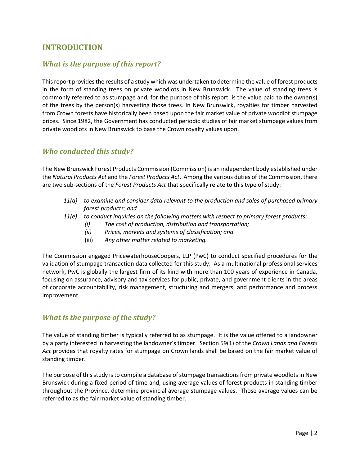## <span id="page-2-0"></span>**INTRODUCTION**

## <span id="page-2-1"></span>*What is the purpose of this report?*

This report provides the results of a study which was undertaken to determine the value of forest products in the form of standing trees on private woodlots in New Brunswick. The value of standing trees is commonly referred to as stumpage and, for the purpose of this report, is the value paid to the owner(s) of the trees by the person(s) harvesting those trees. In New Brunswick, royalties for timber harvested from Crown forests have historically been based upon the fair market value of private woodlot stumpage prices. Since 1982, the Government has conducted periodic studies of fair market stumpage values from private woodlots in New Brunswick to base the Crown royalty values upon.

### <span id="page-2-2"></span>*Who conducted this study?*

The New Brunswick Forest Products Commission (Commission) is an independent body established under the *Natural Products Act* and the *Forest Products Act*. Among the various duties of the Commission, there are two sub-sections of the *Forest Products Act* that specifically relate to this type of study:

- *11(a) to examine and consider data relevant to the production and sales of purchased primary forest products; and*
- *11(e) to conduct inquiries on the following matters with respect to primary forest products:*
	- *(i) The cost of production, distribution and transportation;*
	- *(ii) Prices, markets and systems of classification; and*
	- (iii) *Any other matter related to marketing.*

The Commission engaged PricewaterhouseCoopers, LLP (PwC) to conduct specified procedures for the validation of stumpage transaction data collected for this study. As a multinational professional services network, PwC is globally the largest firm of its kind with more than 100 years of experience in Canada, focusing on assurance, advisory and tax services for public, private, and government clients in the areas of corporate accountability, risk management, structuring and mergers, and performance and process improvement.

### <span id="page-2-3"></span>*What is the purpose of the study?*

The value of standing timber is typically referred to as stumpage. It is the value offered to a landowner by a party interested in harvesting the landowner's timber. Section 59(1) of the *Crown Lands and Forests Act* provides that royalty rates for stumpage on Crown lands shall be based on the fair market value of standing timber.

The purpose of this study is to compile a database of stumpage transactions from private woodlots in New Brunswick during a fixed period of time and, using average values of forest products in standing timber throughout the Province, determine provincial average stumpage values. Those average values can be referred to as the fair market value of standing timber.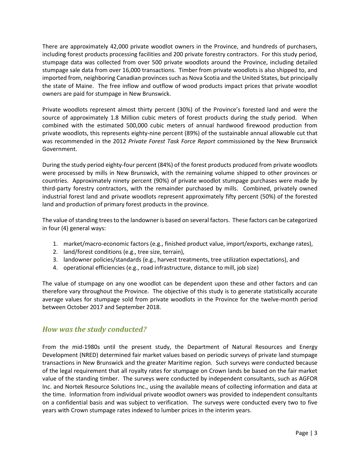There are approximately 42,000 private woodlot owners in the Province, and hundreds of purchasers, including forest products processing facilities and 200 private forestry contractors. For this study period, stumpage data was collected from over 500 private woodlots around the Province, including detailed stumpage sale data from over 16,000 transactions. Timber from private woodlots is also shipped to, and imported from, neighboring Canadian provinces such as Nova Scotia and the United States, but principally the state of Maine. The free inflow and outflow of wood products impact prices that private woodlot owners are paid for stumpage in New Brunswick.

Private woodlots represent almost thirty percent (30%) of the Province's forested land and were the source of approximately 1.8 Million cubic meters of forest products during the study period. When combined with the estimated 500,000 cubic meters of annual hardwood firewood production from private woodlots, this represents eighty-nine percent (89%) of the sustainable annual allowable cut that was recommended in the 2012 *Private Forest Task Force Report* commissioned by the New Brunswick Government.

During the study period eighty-four percent (84%) of the forest products produced from private woodlots were processed by mills in New Brunswick, with the remaining volume shipped to other provinces or countries. Approximately ninety percent (90%) of private woodlot stumpage purchases were made by third-party forestry contractors, with the remainder purchased by mills. Combined, privately owned industrial forest land and private woodlots represent approximately fifty percent (50%) of the forested land and production of primary forest products in the province.

The value of standing trees to the landowner is based on several factors. These factors can be categorized in four (4) general ways:

- 1. market/macro-economic factors (e.g., finished product value, import/exports, exchange rates),
- 2. land/forest conditions (e.g., tree size, terrain),
- 3. landowner policies/standards (e.g., harvest treatments, tree utilization expectations), and
- 4. operational efficiencies (e.g., road infrastructure, distance to mill, job size)

The value of stumpage on any one woodlot can be dependent upon these and other factors and can therefore vary throughout the Province. The objective of this study is to generate statistically accurate average values for stumpage sold from private woodlots in the Province for the twelve-month period between October 2017 and September 2018.

### <span id="page-3-0"></span>*How was the study conducted?*

From the mid-1980s until the present study, the Department of Natural Resources and Energy Development (NRED) determined fair market values based on periodic surveys of private land stumpage transactions in New Brunswick and the greater Maritime region. Such surveys were conducted because of the legal requirement that all royalty rates for stumpage on Crown lands be based on the fair market value of the standing timber. The surveys were conducted by independent consultants, such as AGFOR Inc. and Nortek Resource Solutions Inc., using the available means of collecting information and data at the time. Information from individual private woodlot owners was provided to independent consultants on a confidential basis and was subject to verification. The surveys were conducted every two to five years with Crown stumpage rates indexed to lumber prices in the interim years.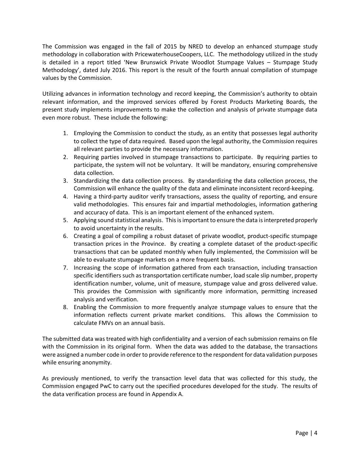The Commission was engaged in the fall of 2015 by NRED to develop an enhanced stumpage study methodology in collaboration with PricewaterhouseCoopers, LLC. The methodology utilized in the study is detailed in a report titled 'New Brunswick Private Woodlot Stumpage Values – Stumpage Study Methodology', dated July 2016. This report is the result of the fourth annual compilation of stumpage values by the Commission.

Utilizing advances in information technology and record keeping, the Commission's authority to obtain relevant information, and the improved services offered by Forest Products Marketing Boards, the present study implements improvements to make the collection and analysis of private stumpage data even more robust. These include the following:

- 1. Employing the Commission to conduct the study, as an entity that possesses legal authority to collect the type of data required. Based upon the legal authority, the Commission requires all relevant parties to provide the necessary information.
- 2. Requiring parties involved in stumpage transactions to participate. By requiring parties to participate, the system will not be voluntary. It will be mandatory, ensuring comprehensive data collection.
- 3. Standardizing the data collection process. By standardizing the data collection process, the Commission will enhance the quality of the data and eliminate inconsistent record-keeping.
- 4. Having a third-party auditor verify transactions, assess the quality of reporting, and ensure valid methodologies. This ensures fair and impartial methodologies, information gathering and accuracy of data. This is an important element of the enhanced system.
- 5. Applying sound statistical analysis. This is important to ensure the data is interpreted properly to avoid uncertainty in the results.
- 6. Creating a goal of compiling a robust dataset of private woodlot, product-specific stumpage transaction prices in the Province. By creating a complete dataset of the product-specific transactions that can be updated monthly when fully implemented, the Commission will be able to evaluate stumpage markets on a more frequent basis.
- 7. Increasing the scope of information gathered from each transaction, including transaction specific identifiers such as transportation certificate number, load scale slip number, property identification number, volume, unit of measure, stumpage value and gross delivered value. This provides the Commission with significantly more information, permitting increased analysis and verification.
- 8. Enabling the Commission to more frequently analyze stumpage values to ensure that the information reflects current private market conditions. This allows the Commission to calculate FMVs on an annual basis.

The submitted data was treated with high confidentiality and a version of each submission remains on file with the Commission in its original form. When the data was added to the database, the transactions were assigned a number code in order to provide reference to the respondent for data validation purposes while ensuring anonymity.

As previously mentioned, to verify the transaction level data that was collected for this study, the Commission engaged PwC to carry out the specified procedures developed for the study. The results of the data verification process are found in Appendix A.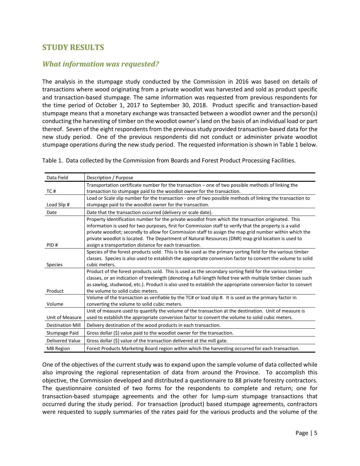## <span id="page-5-0"></span>**STUDY RESULTS**

## <span id="page-5-1"></span>*What information was requested?*

The analysis in the stumpage study conducted by the Commission in 2016 was based on details of transactions where wood originating from a private woodlot was harvested and sold as product specific and transaction-based stumpage. The same information was requested from previous respondents for the time period of October 1, 2017 to September 30, 2018. Product specific and transaction-based stumpage means that a monetary exchange was transacted between a woodlot owner and the person(s) conducting the harvesting of timber on the woodlot owner's land on the basis of an individual load or part thereof. Seven of the eight respondents from the previous study provided transaction-based data for the new study period. One of the previous respondents did not conduct or administer private woodlot stumpage operations during the new study period. The requested information is shown in Table 1 below.

| Table 1. Data collected by the Commission from Boards and Forest Product Processing Facilities. |  |  |
|-------------------------------------------------------------------------------------------------|--|--|
|-------------------------------------------------------------------------------------------------|--|--|

| Data Field              | Description / Purpose                                                                                         |
|-------------------------|---------------------------------------------------------------------------------------------------------------|
|                         | Transportation certificate number for the transaction – one of two possible methods of linking the            |
| TC#                     | transaction to stumpage paid to the woodlot owner for the transaction.                                        |
|                         | Load or Scale slip number for the transaction - one of two possible methods of linking the transaction to     |
| Load Slip #             | stumpage paid to the woodlot owner for the transaction.                                                       |
| Date                    | Date that the transaction occurred (delivery or scale date).                                                  |
|                         | Property Identification number for the private woodlot from which the transaction originated. This            |
|                         | information is used for two purposes, first for Commission staff to verify that the property is a valid       |
|                         | private woodlot; secondly to allow for Commission staff to assign the map grid number within which the        |
|                         | private woodlot is located. The Department of Natural Resources (DNR) map grid location is used to            |
| PID#                    | assign a transportation distance for each transaction.                                                        |
|                         | Species of the forest products sold. This is to be used as the primary sorting field for the various timber   |
|                         | classes. Species is also used to establish the appropriate conversion factor to convert the volume to solid   |
| <b>Species</b>          | cubic meters.                                                                                                 |
|                         | Product of the forest products sold. This is used as the secondary sorting field for the various timber       |
|                         | classes, or an indication of treelength (denoting a full-length felled tree with multiple timber classes such |
|                         | as sawlog, studwood, etc.). Product is also used to establish the appropriate conversion factor to convert    |
| Product                 | the volume to solid cubic meters.                                                                             |
|                         | Volume of the transaction as verifiable by the TC# or load slip #. It is used as the primary factor in        |
| Volume                  | converting the volume to solid cubic meters.                                                                  |
|                         | Unit of measure used to quantify the volume of the transaction at the destination. Unit of measure is         |
| Unit of Measure         | used to establish the appropriate conversion factor to convert the volume to solid cubic meters.              |
| <b>Destination Mill</b> | Delivery destination of the wood products in each transaction.                                                |
| Stumpage Paid           | Gross dollar (\$) value paid to the woodlot owner for the transaction.                                        |
| <b>Delivered Value</b>  | Gross dollar (\$) value of the transaction delivered at the mill gate.                                        |
| <b>MB</b> Region        | Forest Products Marketing Board region within which the harvesting occurred for each transaction.             |

One of the objectives of the current study was to expand upon the sample volume of data collected while also improving the regional representation of data from around the Province. To accomplish this objective, the Commission developed and distributed a questionnaire to 88 private forestry contractors. The questionnaire consisted of two forms for the respondents to complete and return; one for transaction-based stumpage agreements and the other for lump-sum stumpage transactions that occurred during the study period. For transaction (product) based stumpage agreements, contractors were requested to supply summaries of the rates paid for the various products and the volume of the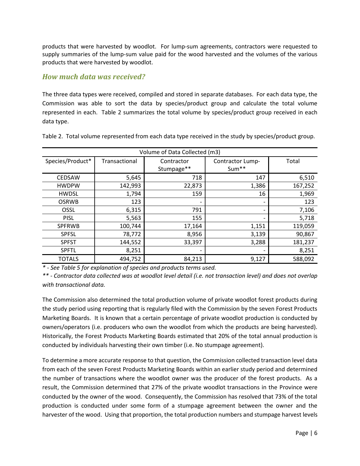products that were harvested by woodlot. For lump-sum agreements, contractors were requested to supply summaries of the lump-sum value paid for the wood harvested and the volumes of the various products that were harvested by woodlot.

## <span id="page-6-0"></span>*How much data was received?*

The three data types were received, compiled and stored in separate databases. For each data type, the Commission was able to sort the data by species/product group and calculate the total volume represented in each. Table 2 summarizes the total volume by species/product group received in each data type.

| Volume of Data Collected (m3) |               |                          |                           |         |  |
|-------------------------------|---------------|--------------------------|---------------------------|---------|--|
| Species/Product*              | Transactional | Contractor<br>Stumpage** | Contractor Lump-<br>Sum** | Total   |  |
| <b>CEDSAW</b>                 | 5,645         | 718                      | 147                       | 6,510   |  |
| <b>HWDPW</b>                  | 142,993       | 22,873                   | 1,386                     | 167,252 |  |
| <b>HWDSL</b>                  | 1,794         | 159                      | 16                        | 1,969   |  |
| <b>OSRWB</b>                  | 123           |                          | $\overline{\phantom{a}}$  | 123     |  |
| OSSL                          | 6,315         | 791                      | $\overline{\phantom{a}}$  | 7,106   |  |
| <b>PISL</b>                   | 5,563         | 155                      | $\overline{\phantom{a}}$  | 5,718   |  |
| <b>SPFRWB</b>                 | 100,744       | 17,164                   | 1,151                     | 119,059 |  |
| <b>SPFSL</b>                  | 78,772        | 8,956                    | 3,139                     | 90,867  |  |
| <b>SPFST</b>                  | 144,552       | 33,397                   | 3,288                     | 181,237 |  |
| <b>SPFTL</b>                  | 8,251         |                          | $\overline{\phantom{a}}$  | 8,251   |  |
| <b>TOTALS</b>                 | 494,752       | 84,213                   | 9,127                     | 588,092 |  |

Table 2. Total volume represented from each data type received in the study by species/product group.

*\* - See Table 5 for explanation of species and products terms used.*

*\*\* - Contractor data collected was at woodlot level detail (i.e. not transaction level) and does not overlap with transactional data.*

The Commission also determined the total production volume of private woodlot forest products during the study period using reporting that is regularly filed with the Commission by the seven Forest Products Marketing Boards. It is known that a certain percentage of private woodlot production is conducted by owners/operators (i.e. producers who own the woodlot from which the products are being harvested). Historically, the Forest Products Marketing Boards estimated that 20% of the total annual production is conducted by individuals harvesting their own timber (i.e. No stumpage agreement).

To determine a more accurate response to that question, the Commission collected transaction level data from each of the seven Forest Products Marketing Boards within an earlier study period and determined the number of transactions where the woodlot owner was the producer of the forest products. As a result, the Commission determined that 27% of the private woodlot transactions in the Province were conducted by the owner of the wood. Consequently, the Commission has resolved that 73% of the total production is conducted under some form of a stumpage agreement between the owner and the harvester of the wood. Using that proportion, the total production numbers and stumpage harvest levels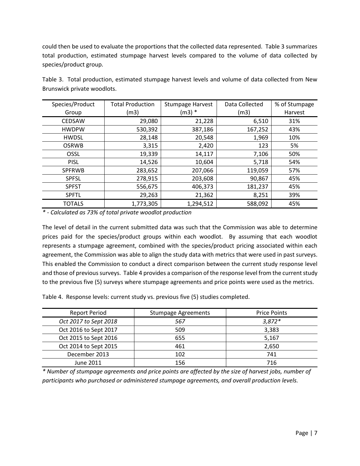could then be used to evaluate the proportions that the collected data represented. Table 3 summarizes total production, estimated stumpage harvest levels compared to the volume of data collected by species/product group.

| Species/Product<br>Group | <b>Total Production</b><br>(m3) | Stumpage Harvest<br>$(m3) *$ | Data Collected<br>(m3) | % of Stumpage<br>Harvest |
|--------------------------|---------------------------------|------------------------------|------------------------|--------------------------|
|                          |                                 |                              |                        |                          |
| <b>CEDSAW</b>            | 29,080                          | 21,228                       | 6,510                  | 31%                      |
| <b>HWDPW</b>             | 530,392                         | 387,186                      | 167,252                | 43%                      |
| <b>HWDSL</b>             | 28,148                          | 20,548                       | 1,969                  | 10%                      |
| <b>OSRWB</b>             | 3,315                           | 2,420                        | 123                    | 5%                       |
| <b>OSSL</b>              | 19,339                          | 14,117                       | 7,106                  | 50%                      |
| <b>PISL</b>              | 14,526                          | 10,604                       | 5,718                  | 54%                      |
| <b>SPFRWB</b>            | 283,652                         | 207,066                      | 119,059                | 57%                      |
| <b>SPFSL</b>             | 278,915                         | 203,608                      | 90,867                 | 45%                      |
| <b>SPFST</b>             | 556,675                         | 406,373                      | 181,237                | 45%                      |
| <b>SPFTL</b>             | 29,263                          | 21,362                       | 8,251                  | 39%                      |
| <b>TOTALS</b>            | 1,773,305                       | 1,294,512                    | 588,092                | 45%                      |

Table 3. Total production, estimated stumpage harvest levels and volume of data collected from New Brunswick private woodlots.

*\* - Calculated as 73% of total private woodlot production*

The level of detail in the current submitted data was such that the Commission was able to determine prices paid for the species/product groups within each woodlot. By assuming that each woodlot represents a stumpage agreement, combined with the species/product pricing associated within each agreement, the Commission was able to align the study data with metrics that were used in past surveys. This enabled the Commission to conduct a direct comparison between the current study response level and those of previous surveys. Table 4 provides a comparison of the response level from the current study to the previous five (5) surveys where stumpage agreements and price points were used as the metrics.

Table 4. Response levels: current study vs. previous five (5) studies completed.

| <b>Report Period</b>  | <b>Stumpage Agreements</b> | <b>Price Points</b> |
|-----------------------|----------------------------|---------------------|
| Oct 2017 to Sept 2018 | 567                        | $3,872*$            |
| Oct 2016 to Sept 2017 | 509                        | 3,383               |
| Oct 2015 to Sept 2016 | 655                        | 5,167               |
| Oct 2014 to Sept 2015 | 461                        | 2.650               |
| December 2013         | 102                        | 741                 |
| June 2011             | 156                        | 716                 |

*\* Number of stumpage agreements and price points are affected by the size of harvest jobs, number of participants who purchased or administered stumpage agreements, and overall production levels.*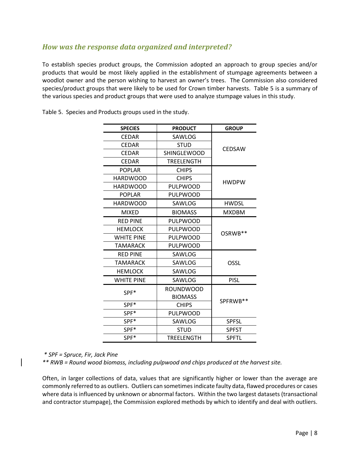## <span id="page-8-0"></span>*How was the response data organized and interpreted?*

To establish species product groups, the Commission adopted an approach to group species and/or products that would be most likely applied in the establishment of stumpage agreements between a woodlot owner and the person wishing to harvest an owner's trees. The Commission also considered species/product groups that were likely to be used for Crown timber harvests. Table 5 is a summary of the various species and product groups that were used to analyze stumpage values in this study.

| <b>SPECIES</b><br><b>PRODUCT</b> |                    | <b>GROUP</b> |  |
|----------------------------------|--------------------|--------------|--|
| <b>CEDAR</b>                     | SAWLOG             |              |  |
| <b>CEDAR</b>                     | <b>STUD</b>        | CEDSAW       |  |
| <b>CEDAR</b>                     | <b>SHINGLEWOOD</b> |              |  |
| <b>CEDAR</b>                     | TREELENGTH         |              |  |
| <b>POPLAR</b>                    | <b>CHIPS</b>       |              |  |
| <b>HARDWOOD</b>                  | <b>CHIPS</b>       | <b>HWDPW</b> |  |
| <b>HARDWOOD</b>                  | PULPWOOD           |              |  |
| <b>POPLAR</b>                    | PULPWOOD           |              |  |
| <b>HARDWOOD</b>                  | SAWLOG             | <b>HWDSL</b> |  |
| <b>MIXED</b>                     | <b>BIOMASS</b>     | <b>MXDBM</b> |  |
| <b>RED PINE</b>                  | PULPWOOD           |              |  |
| <b>HEMLOCK</b>                   | PULPWOOD           | OSRWB**      |  |
| <b>WHITE PINE</b>                | PULPWOOD           |              |  |
| TAMARACK                         | PULPWOOD           |              |  |
| <b>RED PINE</b>                  | SAWLOG             |              |  |
| TAMARACK                         | SAWLOG             | OSSL         |  |
| <b>HEMLOCK</b>                   | SAWLOG             |              |  |
| <b>WHITE PINE</b>                | SAWLOG             | <b>PISL</b>  |  |
| SPF*                             | <b>ROUNDWOOD</b>   |              |  |
|                                  | <b>BIOMASS</b>     |              |  |
| SPF*                             | <b>CHIPS</b>       | SPFRWB**     |  |
| SPF*                             | PULPWOOD           |              |  |
| SPF*                             | SAWLOG             | <b>SPFSL</b> |  |
| SPF*                             | <b>STUD</b>        | <b>SPFST</b> |  |
| SPF*                             | <b>TREELENGTH</b>  | <b>SPFTL</b> |  |

Table 5. Species and Products groups used in the study.

*\* SPF = Spruce, Fir, Jack Pine*

*\*\* RWB = Round wood biomass, including pulpwood and chips produced at the harvest site.*

Often, in larger collections of data, values that are significantly higher or lower than the average are commonly referred to as outliers. Outliers can sometimes indicate faulty data, flawed procedures or cases where data is influenced by unknown or abnormal factors. Within the two largest datasets (transactional and contractor stumpage), the Commission explored methods by which to identify and deal with outliers.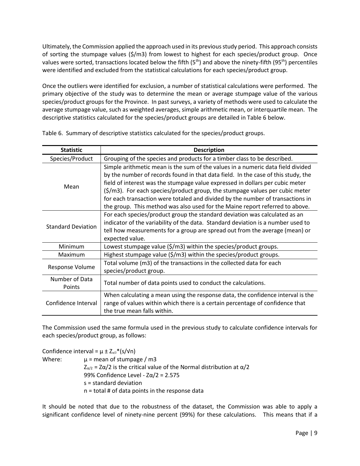Ultimately, the Commission applied the approach used in its previous study period. This approach consists of sorting the stumpage values (\$/m3) from lowest to highest for each species/product group. Once values were sorted, transactions located below the fifth  $(5<sup>th</sup>)$  and above the ninety-fifth  $(95<sup>th</sup>)$  percentiles were identified and excluded from the statistical calculations for each species/product group.

Once the outliers were identified for exclusion, a number of statistical calculations were performed. The primary objective of the study was to determine the mean or average stumpage value of the various species/product groups for the Province. In past surveys, a variety of methods were used to calculate the average stumpage value, such as weighted averages, simple arithmetic mean, or interquartile mean. The descriptive statistics calculated for the species/product groups are detailed in Table 6 below.

| <b>Statistic</b>                                                                                                                                                                                                                                                                                                                                                                                                                                                                                                           | <b>Description</b>                                                                                                                                                                                                                                               |  |  |  |  |
|----------------------------------------------------------------------------------------------------------------------------------------------------------------------------------------------------------------------------------------------------------------------------------------------------------------------------------------------------------------------------------------------------------------------------------------------------------------------------------------------------------------------------|------------------------------------------------------------------------------------------------------------------------------------------------------------------------------------------------------------------------------------------------------------------|--|--|--|--|
| Species/Product                                                                                                                                                                                                                                                                                                                                                                                                                                                                                                            | Grouping of the species and products for a timber class to be described.                                                                                                                                                                                         |  |  |  |  |
| Simple arithmetic mean is the sum of the values in a numeric data field divided<br>by the number of records found in that data field. In the case of this study, the<br>field of interest was the stumpage value expressed in dollars per cubic meter<br>Mean<br>$(\frac{\xi}{m}$ ]. For each species/product group, the stumpage values per cubic meter<br>for each transaction were totaled and divided by the number of transactions in<br>the group. This method was also used for the Maine report referred to above. |                                                                                                                                                                                                                                                                  |  |  |  |  |
| <b>Standard Deviation</b>                                                                                                                                                                                                                                                                                                                                                                                                                                                                                                  | For each species/product group the standard deviation was calculated as an<br>indicator of the variability of the data. Standard deviation is a number used to<br>tell how measurements for a group are spread out from the average (mean) or<br>expected value. |  |  |  |  |
| Minimum                                                                                                                                                                                                                                                                                                                                                                                                                                                                                                                    | Lowest stumpage value (\$/m3) within the species/product groups.                                                                                                                                                                                                 |  |  |  |  |
| Maximum                                                                                                                                                                                                                                                                                                                                                                                                                                                                                                                    | Highest stumpage value $(\frac{2}{m}3)$ within the species/product groups.                                                                                                                                                                                       |  |  |  |  |
| Response Volume                                                                                                                                                                                                                                                                                                                                                                                                                                                                                                            | Total volume (m3) of the transactions in the collected data for each<br>species/product group.                                                                                                                                                                   |  |  |  |  |
| Number of Data<br>Points                                                                                                                                                                                                                                                                                                                                                                                                                                                                                                   | Total number of data points used to conduct the calculations.                                                                                                                                                                                                    |  |  |  |  |
| Confidence Interval                                                                                                                                                                                                                                                                                                                                                                                                                                                                                                        | When calculating a mean using the response data, the confidence interval is the<br>range of values within which there is a certain percentage of confidence that<br>the true mean falls within.                                                                  |  |  |  |  |

Table 6. Summary of descriptive statistics calculated for the species/product groups.

The Commission used the same formula used in the previous study to calculate confidence intervals for each species/product group, as follows:

Confidence interval =  $\mu \pm Z_{\alpha/2}$ \*(s/vn) Where:  $\mu$  = mean of stumpage / m3  $Z_{\alpha/2}$  = Z $\alpha/2$  is the critical value of the Normal distribution at  $\alpha/2$ 99% Confidence Level -  $Z\alpha/2$  = 2.575 s = standard deviation n = total # of data points in the response data

It should be noted that due to the robustness of the dataset, the Commission was able to apply a significant confidence level of ninety-nine percent (99%) for these calculations. This means that if a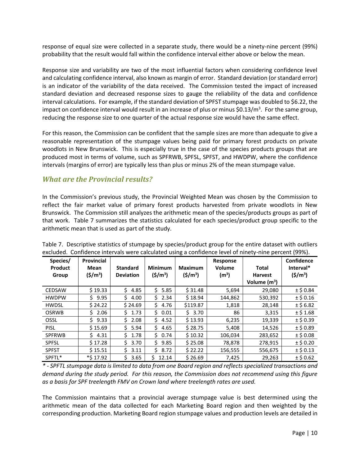response of equal size were collected in a separate study, there would be a ninety-nine percent (99%) probability that the result would fall within the confidence interval either above or below the mean.

Response size and variability are two of the most influential factors when considering confidence level and calculating confidence interval, also known as margin of error. Standard deviation (or standard error) is an indicator of the variability of the data received. The Commission tested the impact of increased standard deviation and decreased response sizes to gauge the reliability of the data and confidence interval calculations. For example, if the standard deviation of SPFST stumpage was doubled to \$6.22, the impact on confidence interval would result in an increase of plus or minus \$0.13/m<sup>3</sup>. For the same group, reducing the response size to one quarter of the actual response size would have the same effect.

For this reason, the Commission can be confident that the sample sizes are more than adequate to give a reasonable representation of the stumpage values being paid for primary forest products on private woodlots in New Brunswick. This is especially true in the case of the species products groups that are produced most in terms of volume, such as SPFRWB, SPFSL, SPFST, and HWDPW, where the confidence intervals (margins of error) are typically less than plus or minus 2% of the mean stumpage value.

### <span id="page-10-0"></span>*What are the Provincial results?*

In the Commission's previous study, the Provincial Weighted Mean was chosen by the Commission to reflect the fair market value of primary forest products harvested from private woodlots in New Brunswick. The Commission still analyzes the arithmetic mean of the species/products groups as part of that work. Table 7 summarizes the statistics calculated for each species/product group specific to the arithmetic mean that is used as part of the study.

| Species/<br><b>Product</b><br>Group | Provincial<br>Mean<br>$(\frac{\xi}{m^3})$ | <b>Standard</b><br><b>Deviation</b> | <b>Minimum</b><br>$(\frac{\xi}{m^3})$ | <b>Maximum</b><br>$(\frac{\xi}{m^3})$ | Response<br>Volume<br>(m <sup>3</sup> ) | Total<br><b>Harvest</b><br>Volume $(m^3)$ | Confidence<br>Interval*<br>$(5/m^3)$ |
|-------------------------------------|-------------------------------------------|-------------------------------------|---------------------------------------|---------------------------------------|-----------------------------------------|-------------------------------------------|--------------------------------------|
| <b>CEDSAW</b>                       | \$19.33                                   | 4.85<br>Ś.                          | Ś.<br>5.85                            | \$31.48                               | 5,694                                   | 29,080                                    | $±$ \$ 0.84                          |
| <b>HWDPW</b>                        | Ś<br>9.95                                 | Ś.<br>4.00                          | Ś.<br>2.34                            | \$18.94                               | 144,862                                 | 530,392                                   | $±$ \$ 0.16                          |
| <b>HWDSL</b>                        | \$24.22                                   | \$24.69                             | Ś.<br>4.76                            | \$119.87                              | 1,818                                   | 28,148                                    | $±$ \$ 6.82                          |
| <b>OSRWB</b>                        | 2.06<br>Ś                                 | 1.73<br>Ś.                          | 0.01<br>S.                            | 3.70<br>Ś.                            | 86                                      | 3,315                                     | $±$ \$1.68                           |
| OSSL                                | Ś.<br>9.33                                | 2.08<br>Ś.                          | Ś.<br>4.52                            | \$13.93                               | 6,235                                   | 19,339                                    | $±$ \$ 0.39                          |
| <b>PISL</b>                         | \$15.69                                   | 5.94<br>S.                          | Ś.<br>4.65                            | \$28.75                               | 5,408                                   | 14,526                                    | $±$ \$ 0.89                          |
| <b>SPFRWB</b>                       | Ś<br>4.31                                 | \$<br>1.78                          | 0.74<br>S.                            | \$10.32                               | 106,034                                 | 283,652                                   | $±$ \$ 0.08                          |
| <b>SPFSL</b>                        | \$17.28                                   | S.<br>3.70                          | 9.85<br>Ś                             | \$25.08                               | 78,878                                  | 278,915                                   | $±$ \$ 0.20                          |
| <b>SPFST</b>                        | \$15.51                                   | 3.11                                | 8.72<br>Ś.                            | \$22.22                               | 156,555                                 | 556,675                                   | $±$ \$ 0.13                          |
| SPFTL*                              | *\$17.92                                  | \$<br>3.65                          | Ś.<br>12.14                           | \$26.69                               | 7,425                                   | 29,263                                    | $±$ \$ 0.62                          |

Table 7. Descriptive statistics of stumpage by species/product group for the entire dataset with outliers excluded. Confidence intervals were calculated using a confidence level of ninety-nine percent (99%).

*\* - SPFTL stumpage data is limited to data from one Board region and reflects specialized transactions and demand during the study period. For this reason, the Commission does not recommend using this figure as a basis for SPF treelength FMV on Crown land where treelength rates are used.*

The Commission maintains that a provincial average stumpage value is best determined using the arithmetic mean of the data collected for each Marketing Board region and then weighted by the corresponding production. Marketing Board region stumpage values and production levels are detailed in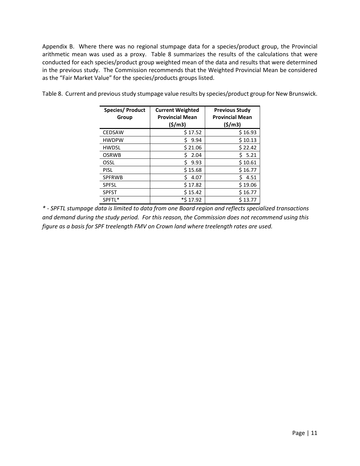Appendix B. Where there was no regional stumpage data for a species/product group, the Provincial arithmetic mean was used as a proxy. Table 8 summarizes the results of the calculations that were conducted for each species/product group weighted mean of the data and results that were determined in the previous study. The Commission recommends that the Weighted Provincial Mean be considered as the "Fair Market Value" for the species/products groups listed.

| Species/ Product<br>Group | <b>Current Weighted</b><br><b>Provincial Mean</b> |            |
|---------------------------|---------------------------------------------------|------------|
|                           | (\$/m3)                                           | (5/m3)     |
| <b>CEDSAW</b>             | \$17.52                                           | \$16.93    |
| <b>HWDPW</b>              | Ś<br>9.94                                         | \$10.13    |
| <b>HWDSL</b>              | \$21.06                                           | \$22.42    |
| <b>OSRWB</b>              | Ś<br>2.04                                         | 5.21       |
| OSSL                      | Ś<br>9.93                                         | \$10.61    |
| <b>PISL</b>               | \$15.68                                           | \$16.77    |
| <b>SPFRWB</b>             | Ś<br>4.07                                         | Ś.<br>4.51 |
| <b>SPFSL</b>              | \$17.82                                           | \$19.06    |
| <b>SPFST</b>              | \$15.42                                           | \$16.77    |
| SPFTL*                    | *\$17.92                                          | \$13.77    |

Table 8. Current and previous study stumpage value results by species/product group for New Brunswick.

*\* - SPFTL stumpage data is limited to data from one Board region and reflects specialized transactions and demand during the study period. For this reason, the Commission does not recommend using this figure as a basis for SPF treelength FMV on Crown land where treelength rates are used.*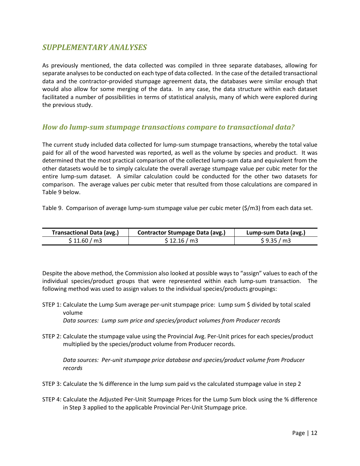## <span id="page-12-0"></span>*SUPPLEMENTARY ANALYSES*

As previously mentioned, the data collected was compiled in three separate databases, allowing for separate analyses to be conducted on each type of data collected. In the case of the detailed transactional data and the contractor-provided stumpage agreement data, the databases were similar enough that would also allow for some merging of the data. In any case, the data structure within each dataset facilitated a number of possibilities in terms of statistical analysis, many of which were explored during the previous study.

### <span id="page-12-1"></span>*How do lump-sum stumpage transactions compare to transactional data?*

The current study included data collected for lump-sum stumpage transactions, whereby the total value paid for all of the wood harvested was reported, as well as the volume by species and product. It was determined that the most practical comparison of the collected lump-sum data and equivalent from the other datasets would be to simply calculate the overall average stumpage value per cubic meter for the entire lump-sum dataset. A similar calculation could be conducted for the other two datasets for comparison. The average values per cubic meter that resulted from those calculations are compared in Table 9 below.

Table 9. Comparison of average lump-sum stumpage value per cubic meter (\$/m3) from each data set.

| <b>Transactional Data (avg.)</b> | <b>Contractor Stumpage Data (avg.)</b> | Lump-sum Data (avg.) |
|----------------------------------|----------------------------------------|----------------------|
| \$11.60/m3                       | \$12.16/m3                             | \$9.35/m3            |

Despite the above method, the Commission also looked at possible ways to "assign" values to each of the individual species/product groups that were represented within each lump-sum transaction. The following method was used to assign values to the individual species/products groupings:

- STEP 1: Calculate the Lump Sum average per-unit stumpage price: Lump sum \$ divided by total scaled volume
	- *Data sources: Lump sum price and species/product volumes from Producer records*
- STEP 2: Calculate the stumpage value using the Provincial Avg. Per-Unit prices for each species/product multiplied by the species/product volume from Producer records.

*Data sources: Per-unit stumpage price database and species/product volume from Producer records*

- STEP 3: Calculate the % difference in the lump sum paid vs the calculated stumpage value in step 2
- STEP 4: Calculate the Adjusted Per-Unit Stumpage Prices for the Lump Sum block using the % difference in Step 3 applied to the applicable Provincial Per-Unit Stumpage price.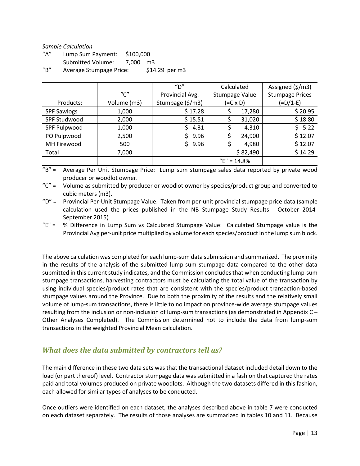#### *Sample Calculation*

| $^{\prime\prime}$ A $^{\prime\prime}$ | Lump Sum Payment:       | \$100,000 |                 |
|---------------------------------------|-------------------------|-----------|-----------------|
|                                       | Submitted Volume:       | 7.000 m3  |                 |
| $^{\prime\prime}$ B $^{\prime\prime}$ | Average Stumpage Price: |           | $$14.29$ per m3 |

|                    |                                       | $^{\prime\prime}$ D" | Calculated     | Assigned (\$/m3)       |
|--------------------|---------------------------------------|----------------------|----------------|------------------------|
|                    | $^{\prime\prime}$ C $^{\prime\prime}$ | Provincial Avg.      | Stumpage Value | <b>Stumpage Prices</b> |
| Products:          | Volume (m3)                           | Stumpage (\$/m3)     | (=C x D)       | $(=D/1-E)$             |
| <b>SPF Sawlogs</b> | 1,000                                 | \$17.28              | 17,280         | \$20.95                |
| SPF Studwood       | 2,000                                 | \$15.51              | 31,020         | \$18.80                |
| SPF Pulpwood       | 1,000                                 | 4.31                 | 4,310          | 5.22                   |
| PO Pulpwood        | 2,500                                 | 9.96                 | 24,900         | \$12.07                |
| MH Firewood        | 500                                   | 9.96                 | 4,980          | \$12.07                |
| Total              | 7,000                                 |                      | \$82,490       | \$14.29                |
|                    |                                       |                      | $"E" = 14.8%$  |                        |

"B" = Average Per Unit Stumpage Price: Lump sum stumpage sales data reported by private wood producer or woodlot owner.

"C" = Volume as submitted by producer or woodlot owner by species/product group and converted to cubic meters (m3).

"D" = Provincial Per-Unit Stumpage Value: Taken from per-unit provincial stumpage price data (sample calculation used the prices published in the NB Stumpage Study Results - October 2014- September 2015)

"E" = % Difference in Lump Sum vs Calculated Stumpage Value: Calculated Stumpage value is the Provincial Avg per-unit price multiplied by volume for each species/product in the lump sum block.

The above calculation was completed for each lump-sum data submission and summarized. The proximity in the results of the analysis of the submitted lump-sum stumpage data compared to the other data submitted in this current study indicates, and the Commission concludes that when conducting lump-sum stumpage transactions, harvesting contractors must be calculating the total value of the transaction by using individual species/product rates that are consistent with the species/product transaction-based stumpage values around the Province. Due to both the proximity of the results and the relatively small volume of lump-sum transactions, there is little to no impact on province-wide average stumpage values resulting from the inclusion or non-inclusion of lump-sum transactions (as demonstrated in Appendix C – Other Analyses Completed). The Commission determined not to include the data from lump-sum transactions in the weighted Provincial Mean calculation.

### <span id="page-13-0"></span>*What does the data submitted by contractors tell us?*

The main difference in these two data sets was that the transactional dataset included detail down to the load (or part thereof) level. Contractor stumpage data was submitted in a fashion that captured the rates paid and total volumes produced on private woodlots. Although the two datasets differed in this fashion, each allowed for similar types of analyses to be conducted.

Once outliers were identified on each dataset, the analyses described above in table 7 were conducted on each dataset separately. The results of those analyses are summarized in tables 10 and 11. Because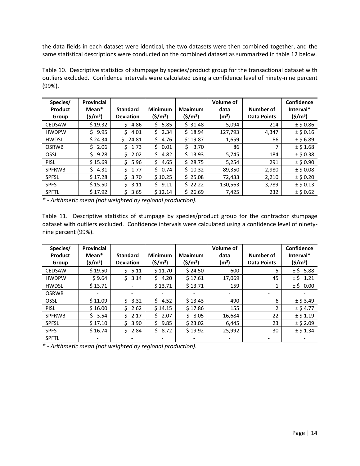the data fields in each dataset were identical, the two datasets were then combined together, and the same statistical descriptions were conducted on the combined dataset as summarized in table 12 below.

Table 10. Descriptive statistics of stumpage by species/product group for the transactional dataset with outliers excluded. Confidence intervals were calculated using a confidence level of ninety-nine percent (99%).

| Species/<br>Product | Provincial<br>Mean <sup>*</sup> | <b>Standard</b>  | <b>Minimum</b>      | <b>Maximum</b>      | Volume of<br>data | Number of          | Confidence<br>Interval* |
|---------------------|---------------------------------|------------------|---------------------|---------------------|-------------------|--------------------|-------------------------|
| Group               | $(\frac{\xi}{m^3})$             | <b>Deviation</b> | $(\frac{\xi}{m^3})$ | $(\frac{\xi}{m^3})$ | (m <sup>3</sup> ) | <b>Data Points</b> | $(5/m^3)$               |
| <b>CEDSAW</b>       | \$19.32                         | 4.86             | 5.85<br>Ś.          | \$31.48             | 5,094             | 214                | $±$ \$ 0.86             |
| <b>HWDPW</b>        | 9.95<br>Ś.                      | 4.01             | 2.34<br>S.          | \$18.94             | 127,793           | 4,347              | $±$ \$ 0.16             |
| <b>HWDSL</b>        | \$24.34                         | 24.81<br>S.      | 4.76<br>S.          | \$119.87            | 1,659             | 86                 | $±$ \$6.89              |
| <b>OSRWB</b>        | 2.06<br>S.                      | 1.73<br>Š.       | 0.01<br>S.          | 3.70<br>S           | 86                |                    | ± \$1.68                |
| OSSL                | Ś.<br>9.28                      | 2.02             | Ś.<br>4.82          | \$13.93             | 5,745             | 184                | $±$ \$ 0.38             |
| <b>PISL</b>         | \$15.69                         | 5.96<br>S.       | Ś.<br>4.65          | \$28.75             | 5,254             | 291                | $±$ \$ 0.90             |
| <b>SPFRWB</b>       | 4.31<br>Ś.                      | 1.77<br>S.       | Ś.<br>0.74          | \$10.32             | 89,350            | 2,980              | $±$ \$ 0.08             |
| <b>SPFSL</b>        | \$17.28                         | 3.70<br>S.       | \$10.25             | \$25.08             | 72,433            | 2,210              | $±$ \$ 0.20             |
| <b>SPFST</b>        | \$15.50                         | Ś<br>3.11        | S.<br>9.11          | \$22.22             | 130,563           | 3,789              | $±$ \$ 0.13             |
| <b>SPFTL</b>        | \$17.92                         | 3.65<br>Ś        | \$12.14             | \$26.69             | 7,425             | 232                | $±$ \$ 0.62             |

*\* - Arithmetic mean (not weighted by regional production).*

Table 11. Descriptive statistics of stumpage by species/product group for the contractor stumpage dataset with outliers excluded. Confidence intervals were calculated using a confidence level of ninetynine percent (99%).

| Species/       | <b>Provincial</b> |                          |                     |                     | <b>Volume of</b>  |                    | Confidence  |
|----------------|-------------------|--------------------------|---------------------|---------------------|-------------------|--------------------|-------------|
| <b>Product</b> | Mean <sup>*</sup> | <b>Standard</b>          | <b>Minimum</b>      | <b>Maximum</b>      | data              | Number of          | Interval*   |
| Group          | $({5}/{m^3})$     | <b>Deviation</b>         | $(\frac{\xi}{m^3})$ | $(\frac{\xi}{m^3})$ | (m <sup>3</sup> ) | <b>Data Points</b> | $(\$/m^3)$  |
| <b>CEDSAW</b>  | \$19.50           | 5.11<br>S.               | \$11.70             | \$24.50             | 600               | 5                  | ± \$5.88    |
| <b>HWDPW</b>   | \$9.64            | 3.14<br>Ŝ.               | Ś.<br>4.20          | \$17.61             | 17,069            | 45                 | $±$ \$ 1.21 |
| <b>HWDSL</b>   | \$13.71           |                          | \$13.71             | \$13.71             | 159               |                    | $±$ \$ 0.00 |
| <b>OSRWB</b>   |                   | $\overline{\phantom{a}}$ |                     |                     |                   |                    |             |
| OSSL           | \$11.09           | 3.32<br>Ś.               | 4.52<br>Ś.          | \$13.43             | 490               | 6                  | $±$ \$ 3.49 |
| <b>PISL</b>    | \$16.00           | 2.62                     | \$14.15             | \$17.86             | 155               | 2                  | $±$ \$4.77  |
| <b>SPFRWB</b>  | Ś.<br>3.54        | 2.17<br>Ś.               | Ś.<br>2.07          | Ś.<br>8.05          | 16,684            | 22                 | $±$ \$ 1.19 |
| <b>SPFSL</b>   | \$17.10           | S<br>3.90                | 9.85<br>Š.          | \$23.02             | 6,445             | 23                 | $±$ \$ 2.09 |
| <b>SPFST</b>   | \$16.74           | 2.84<br>S.               | Ś.<br>8.72          | \$19.92             | 25,992            | 30                 | $±$ \$ 1.34 |
| <b>SPFTL</b>   |                   |                          |                     |                     |                   |                    |             |

*\* - Arithmetic mean (not weighted by regional production).*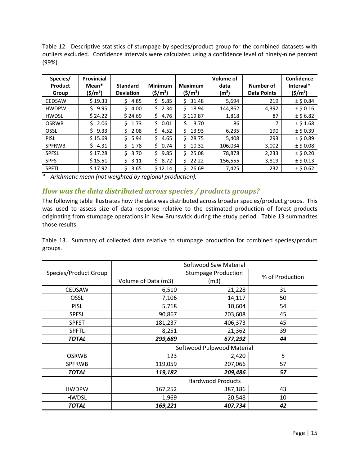Table 12. Descriptive statistics of stumpage by species/product group for the combined datasets with outliers excluded. Confidence intervals were calculated using a confidence level of ninety-nine percent (99%).

| Species/<br>Product<br>Group | Provincial<br>Mean*<br>$(\frac{\xi}{m^3})$ | <b>Standard</b><br><b>Deviation</b> | <b>Minimum</b><br>$(\frac{\xi}{m^3})$ | Maximum<br>$(\$/m^3)$ | Volume of<br>data<br>(m <sup>3</sup> ) | Number of<br><b>Data Points</b> | Confidence<br>Interval*<br>$(5/m^3)$ |
|------------------------------|--------------------------------------------|-------------------------------------|---------------------------------------|-----------------------|----------------------------------------|---------------------------------|--------------------------------------|
| <b>CEDSAW</b>                | \$19.33                                    | 4.85<br>Ś.                          | Ś.<br>5.85                            | Ś.<br>31.48           | 5,694                                  | 219                             | $±$ \$ 0.84                          |
| <b>HWDPW</b>                 | 9.95<br>S.                                 | 4.00<br>S.                          | 2.34<br>S.                            | 18.94<br>S.           | 144,862                                | 4,392                           | $±$ \$ 0.16                          |
| <b>HWDSL</b>                 | \$24.22                                    | \$24.69                             | 4.76<br>Ś.                            | \$119.87              | 1,818                                  | 87                              | $±$ \$6.82                           |
| <b>OSRWB</b>                 | 2.06<br>S                                  | 1.73<br>S.                          | 0.01<br>S.                            | 3.70<br>Ś             | 86                                     | 7                               | $±$ \$1.68                           |
| OSSL                         | Ś.<br>9.33                                 | Ś.<br>2.08                          | Ś.<br>4.52                            | Ś.<br>13.93           | 6,235                                  | 190                             | $±$ \$ 0.39                          |
| <b>PISL</b>                  | \$15.69                                    | 5.94<br>Ś.                          | Ś.<br>4.65                            | 28.75<br>Ś.           | 5,408                                  | 293                             | $±$ \$ 0.89                          |
| <b>SPFRWB</b>                | 4.31<br>S.                                 | 1.78                                | 0.74<br>Ŝ.                            | Ś.<br>10.32           | 106,034                                | 3,002                           | $±$ \$ 0.08                          |
| <b>SPFSL</b>                 | \$17.28                                    | 3.70<br>Ś                           | 9.85<br>Ś.                            | 25.08<br>Ś.           | 78,878                                 | 2,233                           | $±$ \$ 0.20                          |
| <b>SPFST</b>                 | \$15.51                                    | 3.11<br>S                           | 8.72<br>S.                            | 22.22                 | 156,555                                | 3,819                           | $±$ \$ 0.13                          |
| <b>SPFTL</b>                 | \$17.92                                    | 3.65                                | \$12.14                               | 26.69<br>S.           | 7,425                                  | 232                             | $±$ \$ 0.62                          |

*\* - Arithmetic mean (not weighted by regional production).*

## <span id="page-15-0"></span>*How was the data distributed across species / products groups?*

The following table illustrates how the data was distributed across broader species/product groups. This was used to assess size of data response relative to the estimated production of forest products originating from stumpage operations in New Brunswick during the study period. Table 13 summarizes those results.

Table 13. Summary of collected data relative to stumpage production for combined species/product groups.

|                       | Softwood Saw Material    |                            |                 |  |  |  |
|-----------------------|--------------------------|----------------------------|-----------------|--|--|--|
| Species/Product Group |                          | <b>Stumpage Production</b> | % of Production |  |  |  |
|                       | Volume of Data (m3)      | (m3)                       |                 |  |  |  |
| <b>CEDSAW</b>         | 6,510                    | 21,228                     | 31              |  |  |  |
| OSSL                  | 7,106                    | 14,117                     | 50              |  |  |  |
| <b>PISL</b>           | 5,718                    | 10,604                     | 54              |  |  |  |
| <b>SPFSL</b>          | 90,867                   | 203,608                    | 45              |  |  |  |
| <b>SPFST</b>          | 181,237                  | 406,373                    | 45              |  |  |  |
| <b>SPFTL</b>          | 8,251                    | 21,362                     | 39              |  |  |  |
| <b>TOTAL</b>          | 299,689                  | 677,292                    | 44              |  |  |  |
|                       |                          | Softwood Pulpwood Material |                 |  |  |  |
| <b>OSRWB</b>          | 123                      | 2,420                      | 5               |  |  |  |
| <b>SPFRWB</b>         | 119,059                  | 207,066                    | 57              |  |  |  |
| <b>TOTAL</b>          | 119,182                  | 209,486                    | 57              |  |  |  |
|                       | <b>Hardwood Products</b> |                            |                 |  |  |  |
| <b>HWDPW</b>          | 167,252                  | 387,186                    | 43              |  |  |  |
| <b>HWDSL</b>          | 1,969                    | 20,548                     | 10              |  |  |  |
| <b>TOTAL</b>          | 169,221                  | 407,734                    | 42              |  |  |  |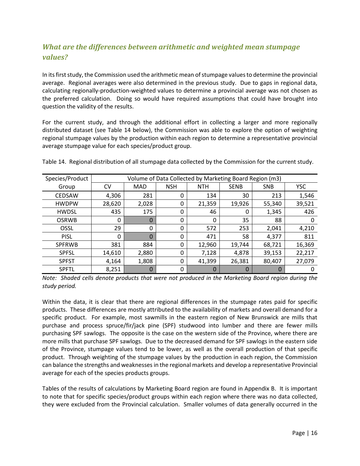## <span id="page-16-0"></span>*What are the differences between arithmetic and weighted mean stumpage values?*

In its first study, the Commission used the arithmetic mean of stumpage values to determine the provincial average. Regional averages were also determined in the previous study. Due to gaps in regional data, calculating regionally-production-weighted values to determine a provincial average was not chosen as the preferred calculation. Doing so would have required assumptions that could have brought into question the validity of the results.

For the current study, and through the additional effort in collecting a larger and more regionally distributed dataset (see Table 14 below), the Commission was able to explore the option of weighting regional stumpage values by the production within each region to determine a representative provincial average stumpage value for each species/product group.

| Species/Product |          | Volume of Data Collected by Marketing Board Region (m3) |            |            |             |            |            |  |  |  |
|-----------------|----------|---------------------------------------------------------|------------|------------|-------------|------------|------------|--|--|--|
| Group           | CV       | <b>MAD</b>                                              | <b>NSH</b> | <b>NTH</b> | <b>SENB</b> | <b>SNB</b> | <b>YSC</b> |  |  |  |
| <b>CEDSAW</b>   | 4,306    | 281                                                     | 0          | 134        | 30          | 213        | 1,546      |  |  |  |
| <b>HWDPW</b>    | 28,620   | 2,028                                                   | 0          | 21,359     | 19,926      | 55,340     | 39,521     |  |  |  |
| <b>HWDSL</b>    | 435      | 175                                                     | 0          | 46         | 0           | 1,345      | 426        |  |  |  |
| <b>OSRWB</b>    | 0        |                                                         | $\Omega$   | 0          | 35          | 88         |            |  |  |  |
| OSSL            | 29       | 0                                                       | $\Omega$   | 572        | 253         | 2,041      | 4,210      |  |  |  |
| <b>PISL</b>     | $\Omega$ | 0                                                       | $\Omega$   | 471        | 58          | 4,377      | 811        |  |  |  |
| <b>SPFRWB</b>   | 381      | 884                                                     | 0          | 12,960     | 19,744      | 68,721     | 16,369     |  |  |  |
| <b>SPFSL</b>    | 14,610   | 2,880                                                   | 0          | 7,128      | 4,878       | 39,153     | 22,217     |  |  |  |
| <b>SPFST</b>    | 4,164    | 1,808                                                   | 0          | 41,399     | 26,381      | 80,407     | 27,079     |  |  |  |
| <b>SPFTL</b>    | 8,251    | 0                                                       | 0          | $\Omega$   | 0           | $\Box$     |            |  |  |  |

Table 14. Regional distribution of all stumpage data collected by the Commission for the current study.

*Note: Shaded cells denote products that were not produced in the Marketing Board region during the study period.*

Within the data, it is clear that there are regional differences in the stumpage rates paid for specific products. These differences are mostly attributed to the availability of markets and overall demand for a specific product. For example, most sawmills in the eastern region of New Brunswick are mills that purchase and process spruce/fir/jack pine (SPF) studwood into lumber and there are fewer mills purchasing SPF sawlogs. The opposite is the case on the western side of the Province, where there are more mills that purchase SPF sawlogs. Due to the decreased demand for SPF sawlogs in the eastern side of the Province, stumpage values tend to be lower, as well as the overall production of that specific product. Through weighting of the stumpage values by the production in each region, the Commission can balance the strengths and weaknesses in the regional markets and develop a representative Provincial average for each of the species products groups.

Tables of the results of calculations by Marketing Board region are found in Appendix B. It is important to note that for specific species/product groups within each region where there was no data collected, they were excluded from the Provincial calculation. Smaller volumes of data generally occurred in the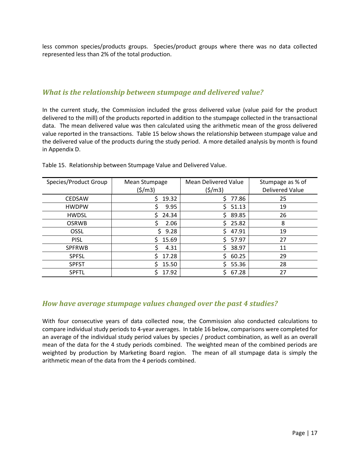less common species/products groups. Species/product groups where there was no data collected represented less than 2% of the total production.

## <span id="page-17-0"></span>*What is the relationship between stumpage and delivered value?*

In the current study, the Commission included the gross delivered value (value paid for the product delivered to the mill) of the products reported in addition to the stumpage collected in the transactional data. The mean delivered value was then calculated using the arithmetic mean of the gross delivered value reported in the transactions. Table 15 below shows the relationship between stumpage value and the delivered value of the products during the study period. A more detailed analysis by month is found in Appendix D.

| Species/Product Group | Mean Stumpage<br>(5/m3) | Mean Delivered Value<br>(5/m3) | Stumpage as % of<br><b>Delivered Value</b> |
|-----------------------|-------------------------|--------------------------------|--------------------------------------------|
| <b>CEDSAW</b>         | 19.32                   | 77.86<br>S                     | 25                                         |
| <b>HWDPW</b>          | 9.95                    | 51.13                          | 19                                         |
| <b>HWDSL</b>          | 24.34                   | Š.<br>89.85                    | 26                                         |
| <b>OSRWB</b>          | 2.06                    | 25.82<br>S                     | 8                                          |
| <b>OSSL</b>           | 9.28<br>ς               | 47.91                          | 19                                         |
| <b>PISL</b>           | 15.69                   | 57.97<br>S.                    | 27                                         |
| <b>SPFRWB</b>         | 4.31                    | S.<br>38.97                    | 11                                         |
| <b>SPFSL</b>          | 17.28                   | S.<br>60.25                    | 29                                         |
| <b>SPFST</b>          | 15.50                   | 55.36                          | 28                                         |
| <b>SPFTL</b>          | 17.92                   | 67.28                          | 27                                         |

Table 15. Relationship between Stumpage Value and Delivered Value.

### <span id="page-17-1"></span>*How have average stumpage values changed over the past 4 studies?*

With four consecutive years of data collected now, the Commission also conducted calculations to compare individual study periods to 4-year averages. In table 16 below, comparisons were completed for an average of the individual study period values by species / product combination, as well as an overall mean of the data for the 4 study periods combined. The weighted mean of the combined periods are weighted by production by Marketing Board region. The mean of all stumpage data is simply the arithmetic mean of the data from the 4 periods combined.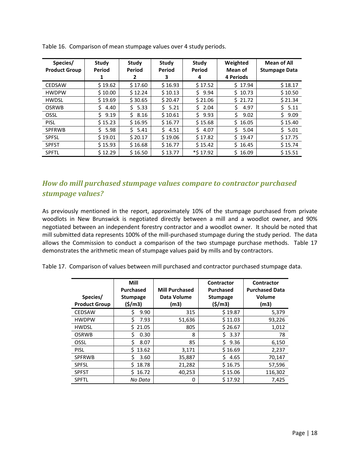| Species/<br><b>Product Group</b> | Study<br>Period<br>1 | Study<br>Period<br>2 | Study<br>Period<br>з | Study<br>Period<br>4 | Weighted<br>Mean of<br>4 Periods | <b>Mean of All</b><br><b>Stumpage Data</b> |
|----------------------------------|----------------------|----------------------|----------------------|----------------------|----------------------------------|--------------------------------------------|
| <b>CEDSAW</b>                    | \$19.62              | \$17.60              | \$16.93              | \$17.52              | \$17.94                          | \$18.17                                    |
| <b>HWDPW</b>                     | \$10.00              | \$12.24              | \$10.13              | 9.94<br>Ś.           | \$10.73                          | \$10.50                                    |
| <b>HWDSL</b>                     | \$19.69              | \$30.65              | \$20.47              | \$21.06              | $S$ 21.72                        | \$21.34                                    |
| <b>OSRWB</b>                     | Ś.<br>4.40           | Ś.<br>5.33           | \$5.21               | Ś.<br>2.04           | \$<br>4.97                       | \$5.11                                     |
| OSSL                             | 9.19<br>S.           | 8.16<br>S.           | \$10.61              | Ś.<br>9.93           | Ś.<br>9.02                       | Ś.<br>9.09                                 |
| <b>PISL</b>                      | \$15.23              | \$16.95              | \$16.77              | \$15.68              | \$16.05                          | \$15.40                                    |
| <b>SPFRWB</b>                    | 5.98<br>Ś.           | 5.41                 | 54.51                | 4.07<br>Ś.           | Ŝ.<br>5.04                       | 5.01                                       |
| <b>SPFSL</b>                     | \$19.01              | \$20.17              | \$19.06              | \$17.82              | $5$ 19.47                        | \$17.75                                    |
| <b>SPFST</b>                     | \$15.93              | \$16.68              | \$16.77              | \$15.42              | \$16.45                          | \$15.74                                    |
| <b>SPFTL</b>                     | \$12.29              | \$16.50              | \$13.77              | *\$17.92             | \$16.09                          | \$15.51                                    |

Table 16. Comparison of mean stumpage values over 4 study periods.

## <span id="page-18-0"></span>*How do mill purchased stumpage values compare to contractor purchased stumpage values?*

As previously mentioned in the report, approximately 10% of the stumpage purchased from private woodlots in New Brunswick is negotiated directly between a mill and a woodlot owner, and 90% negotiated between an independent forestry contractor and a woodlot owner. It should be noted that mill submitted data represents 100% of the mill-purchased stumpage during the study period. The data allows the Commission to conduct a comparison of the two stumpage purchase methods. Table 17 demonstrates the arithmetic mean of stumpage values paid by mills and by contractors.

Table 17. Comparison of values between mill purchased and contractor purchased stumpage data.

| Species/<br><b>Product Group</b> | Mill<br><b>Purchased</b><br><b>Stumpage</b><br>(\$/m3) | <b>Mill Purchased</b><br>Data Volume<br>(m3) | Contractor<br><b>Purchased</b><br><b>Stumpage</b><br>(\$/m3) | Contractor<br><b>Purchased Data</b><br>Volume<br>(m3) |
|----------------------------------|--------------------------------------------------------|----------------------------------------------|--------------------------------------------------------------|-------------------------------------------------------|
| <b>CEDSAW</b>                    | 9.90<br>Ś                                              | 315                                          | \$19.87                                                      | 5,379                                                 |
| <b>HWDPW</b>                     | Ś.<br>7.93                                             | 51,636                                       | \$11.03                                                      | 93,226                                                |
| <b>HWDSL</b>                     | 21.05<br>S.                                            | 805                                          | \$26.67                                                      | 1,012                                                 |
| <b>OSRWB</b>                     | Ś<br>0.30                                              | 8                                            | Ś.<br>3.37                                                   | 78                                                    |
| OSSL                             | Ś<br>8.07                                              | 85                                           | Ś<br>9.36                                                    | 6,150                                                 |
| <b>PISL</b>                      | 13.62<br>Ś.                                            | 3,171                                        | \$16.69                                                      | 2,237                                                 |
| <b>SPFRWB</b>                    | 3.60                                                   | 35,887                                       | S<br>4.65                                                    | 70,147                                                |
| <b>SPFSL</b>                     | 18.78<br>S.                                            | 21,282                                       | \$16.75                                                      | 57,596                                                |
| <b>SPFST</b>                     | 16.72<br>S.                                            | 40,253                                       | \$15.06                                                      | 116,302                                               |
| <b>SPFTL</b>                     | No Data                                                | 0                                            | \$17.92                                                      | 7,425                                                 |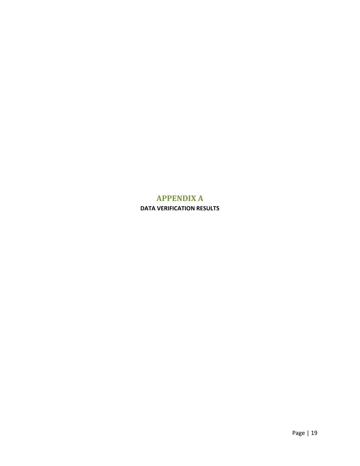## <span id="page-19-0"></span>**APPENDIX A DATA VERIFICATION RESULTS**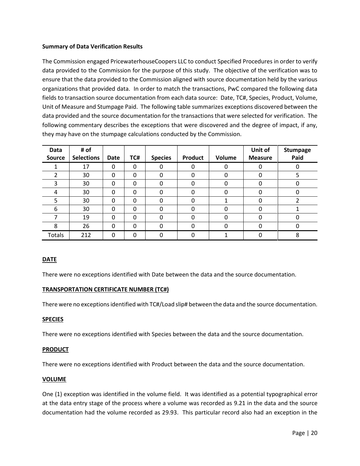### **Summary of Data Verification Results**

The Commission engaged PricewaterhouseCoopers LLC to conduct Specified Procedures in order to verify data provided to the Commission for the purpose of this study. The objective of the verification was to ensure that the data provided to the Commission aligned with source documentation held by the various organizations that provided data. In order to match the transactions, PwC compared the following data fields to transaction source documentation from each data source: Date, TC#, Species, Product, Volume, Unit of Measure and Stumpage Paid. The following table summarizes exceptions discovered between the data provided and the source documentation for the transactions that were selected for verification. The following commentary describes the exceptions that were discovered and the degree of impact, if any, they may have on the stumpage calculations conducted by the Commission.

| Data          | # of              |          |          |                |                |          | Unit of        | <b>Stumpage</b> |
|---------------|-------------------|----------|----------|----------------|----------------|----------|----------------|-----------------|
| <b>Source</b> | <b>Selections</b> | Date     | TC#      | <b>Species</b> | <b>Product</b> | Volume   | <b>Measure</b> | Paid            |
|               | 17                | $\Omega$ | 0        |                | 0              |          | 0              |                 |
|               | 30                | $\Omega$ | 0        | 0              | 0              | $\Omega$ | 0              |                 |
| 3             | 30                | $\Omega$ | 0        | 0              | $\Omega$       |          | 0              |                 |
| 4             | 30                | $\Omega$ | 0        | 0              | 0              | O        | 0              |                 |
| 5             | 30                | $\Omega$ | 0        | 0              | 0              |          | 0              |                 |
| 6             | 30                | $\Omega$ | 0        | $\Omega$       | <sup>0</sup>   | 0        | O              |                 |
| 7             | 19                | $\Omega$ | $\Omega$ | $\Omega$       | 0              | O        |                |                 |
| 8             | 26                | $\Omega$ | 0        | 0              | <sup>0</sup>   | $\Omega$ | ი              |                 |
| Totals        | 212               | $\Omega$ | O        |                |                |          |                | 8               |

### **DATE**

There were no exceptions identified with Date between the data and the source documentation.

### **TRANSPORTATION CERTIFICATE NUMBER (TC#)**

There were no exceptions identified with TC#/Load slip# between the data and the source documentation.

### **SPECIES**

There were no exceptions identified with Species between the data and the source documentation.

#### **PRODUCT**

There were no exceptions identified with Product between the data and the source documentation.

#### **VOLUME**

One (1) exception was identified in the volume field. It was identified as a potential typographical error at the data entry stage of the process where a volume was recorded as 9.21 in the data and the source documentation had the volume recorded as 29.93. This particular record also had an exception in the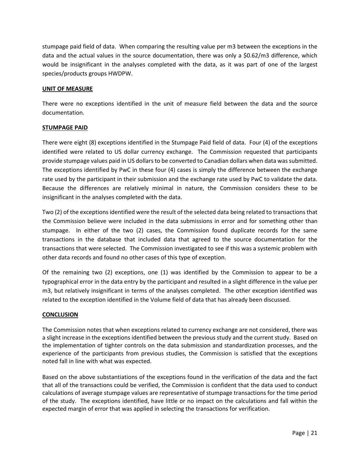stumpage paid field of data. When comparing the resulting value per m3 between the exceptions in the data and the actual values in the source documentation, there was only a \$0.62/m3 difference, which would be insignificant in the analyses completed with the data, as it was part of one of the largest species/products groups HWDPW.

### **UNIT OF MEASURE**

There were no exceptions identified in the unit of measure field between the data and the source documentation.

### **STUMPAGE PAID**

There were eight (8) exceptions identified in the Stumpage Paid field of data. Four (4) of the exceptions identified were related to US dollar currency exchange. The Commission requested that participants provide stumpage values paid in US dollars to be converted to Canadian dollars when data was submitted. The exceptions identified by PwC in these four (4) cases is simply the difference between the exchange rate used by the participant in their submission and the exchange rate used by PwC to validate the data. Because the differences are relatively minimal in nature, the Commission considers these to be insignificant in the analyses completed with the data.

Two (2) of the exceptions identified were the result of the selected data being related to transactions that the Commission believe were included in the data submissions in error and for something other than stumpage. In either of the two (2) cases, the Commission found duplicate records for the same transactions in the database that included data that agreed to the source documentation for the transactions that were selected. The Commission investigated to see if this was a systemic problem with other data records and found no other cases of this type of exception.

Of the remaining two (2) exceptions, one (1) was identified by the Commission to appear to be a typographical error in the data entry by the participant and resulted in a slight difference in the value per m3, but relatively insignificant in terms of the analyses completed. The other exception identified was related to the exception identified in the Volume field of data that has already been discussed.

### **CONCLUSION**

The Commission notes that when exceptions related to currency exchange are not considered, there was a slight increase in the exceptions identified between the previous study and the current study. Based on the implementation of tighter controls on the data submission and standardization processes, and the experience of the participants from previous studies, the Commission is satisfied that the exceptions noted fall in line with what was expected.

Based on the above substantiations of the exceptions found in the verification of the data and the fact that all of the transactions could be verified, the Commission is confident that the data used to conduct calculations of average stumpage values are representative of stumpage transactions for the time period of the study. The exceptions identified, have little or no impact on the calculations and fall within the expected margin of error that was applied in selecting the transactions for verification.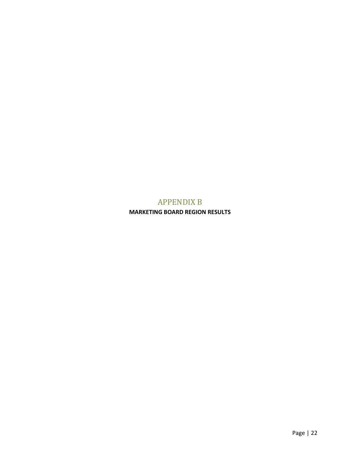## APPENDIX B

<span id="page-22-0"></span>**MARKETING BOARD REGION RESULTS**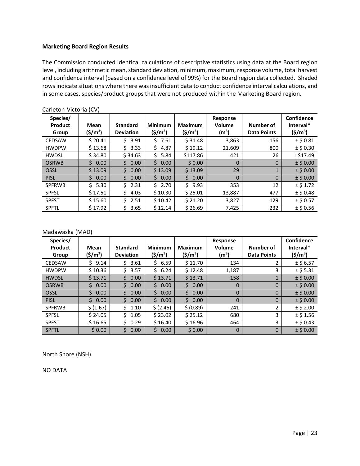#### **Marketing Board Region Results**

The Commission conducted identical calculations of descriptive statistics using data at the Board region level, including arithmetic mean, standard deviation, minimum, maximum, response volume, total harvest and confidence interval (based on a confidence level of 99%) for the Board region data collected. Shaded rows indicate situations where there was insufficient data to conduct confidence interval calculations, and in some cases, species/product groups that were not produced within the Marketing Board region.

| Species/<br>Product<br>Group | Mean<br>$(\frac{\xi}{m^3})$ | <b>Standard</b><br><b>Deviation</b> | <b>Minimum</b><br>$(5/m^3)$ | <b>Maximum</b><br>$(\frac{\xi}{m^3})$ | Response<br>Volume<br>(m <sup>3</sup> ) | Number of<br><b>Data Points</b> | Confidence<br>Interval*<br>$(5/m^3)$ |
|------------------------------|-----------------------------|-------------------------------------|-----------------------------|---------------------------------------|-----------------------------------------|---------------------------------|--------------------------------------|
| <b>CEDSAW</b>                | \$20.41                     | 3.91<br>S.                          | S.<br>7.61                  | \$31.48                               | 3,863                                   | 156                             | $±$ \$ 0.81                          |
| <b>HWDPW</b>                 | \$13.68                     | 3.33<br>S.                          | 4.87<br>S.                  | \$19.12                               | 21,609                                  | 800                             | $±$ \$ 0.30                          |
| <b>HWDSL</b>                 | \$34.80                     | \$34.63                             | 5.84<br>Ś.                  | \$117.86                              | 421                                     | 26                              | ± \$17.49                            |
| <b>OSRWB</b>                 | 50.00                       | 0.00<br>S.                          | 0.00<br>S.                  | \$0.00                                | $\Omega$                                | $\Omega$                        | $±$ \$ 0.00                          |
| OSSL                         | \$13.09                     | S.<br>0.00                          | \$13.09                     | \$13.09                               | 29                                      | 1                               | $±$ \$ 0.00                          |
| <b>PISL</b>                  | Ś.<br>0.00                  | Ś.<br>0.00                          | 50.00                       | \$0.00                                | $\Omega$                                | $\Omega$                        | $±$ \$ 0.00                          |
| <b>SPFRWB</b>                | Ś.<br>5.30                  | \$2.31                              | \$2.70                      | Ś.<br>9.93                            | 353                                     | 12                              | $±$ \$ 1.72                          |
| <b>SPFSL</b>                 | \$17.51                     | 4.03<br>S.                          | \$10.30                     | \$25.01                               | 13,887                                  | 477                             | $±$ \$ 0.48                          |
| <b>SPFST</b>                 | \$15.60                     | 2.51<br>S.                          | \$10.42                     | \$21.20                               | 3,827                                   | 129                             | $±$ \$ 0.57                          |
| <b>SPFTL</b>                 | \$17.92                     | 3.65<br>Ś                           | \$12.14                     | \$26.69                               | 7,425                                   | 232                             | $±$ \$ 0.56                          |

Carleton-Victoria (CV)

#### Madawaska (MAD)

| Species/<br>Product<br>Group | Mean<br>$(\$/m^3)$ | <b>Standard</b><br><b>Deviation</b> | <b>Minimum</b><br>$(\frac{\xi}{m^3})$ | <b>Maximum</b><br>$(\$/m^3)$ | Response<br>Volume<br>(m <sup>3</sup> ) | Number of<br><b>Data Points</b> | Confidence<br>Interval*<br>$(\frac{\xi}{m^3})$ |
|------------------------------|--------------------|-------------------------------------|---------------------------------------|------------------------------|-----------------------------------------|---------------------------------|------------------------------------------------|
|                              |                    |                                     |                                       |                              |                                         |                                 |                                                |
| <b>CEDSAW</b>                | 9.14<br>Ś.         | Ś.<br>3.61                          | 6.59<br>S.                            | \$11.70                      | 134                                     | 2                               | $±$ \$6.57                                     |
| <b>HWDPW</b>                 | \$10.36            | 3.57                                | 6.24<br>S.                            | \$12.48                      | 1,187                                   | 3                               | $±$ \$5.31                                     |
| <b>HWDSL</b>                 | \$13.71            | Ś.<br>0.00                          | \$13.71                               | \$13.71                      | 158                                     |                                 | $±$ \$ 0.00                                    |
| <b>OSRWB</b>                 | Ś.<br>0.00         | Ś.<br>0.00                          | Ś.<br>0.00                            | Ś.<br>0.00                   | $\Omega$                                | $\overline{0}$                  | $±$ \$ 0.00                                    |
| <b>OSSL</b>                  | Ś.<br>0.00         | Ś.<br>0.00                          | S.<br>0.00                            | Ś.<br>0.00                   | $\Omega$                                | $\Omega$                        | $±$ \$ 0.00                                    |
| <b>PISL</b>                  | 0.00<br>S.         | 0.00<br>Ś.                          | 0.00<br>S.                            | 0.00<br>S.                   | $\Omega$                                | $\Omega$                        | $±$ \$ 0.00                                    |
| <b>SPFRWB</b>                | \$(1.67)           | Ś<br>1.10                           | \$(2.45)                              | \$ (0.89)                    | 241                                     | 2                               | $±$ \$ 2.00                                    |
| <b>SPFSL</b>                 | \$24.05            | Ś<br>1.05                           | \$23.02                               | \$25.12                      | 680                                     | 3                               | $±$ \$1.56                                     |
| <b>SPFST</b>                 | \$16.65            | Ś.<br>0.29                          | \$16.40                               | \$16.96                      | 464                                     | 3                               | $±$ \$ 0.43                                    |
| <b>SPFTL</b>                 | \$0.00             | \$<br>0.00                          | 0.00<br>Ś                             | \$0.00                       | $\Omega$                                | $\overline{0}$                  | $±$ \$ 0.00                                    |

North Shore (NSH)

NO DATA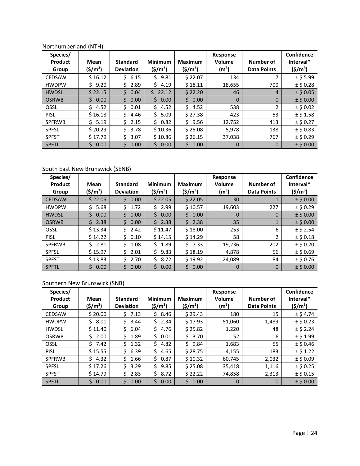| Species/<br>Product<br>Group | Mean<br>$(\frac{\xi}{m^3})$ | <b>Standard</b><br><b>Deviation</b> | <b>Minimum</b><br>$(\frac{\xi}{m^3})$ | <b>Maximum</b><br>$(\$/m^3)$ | <b>Response</b><br>Volume<br>(m <sup>3</sup> ) | Number of<br><b>Data Points</b> | Confidence<br>Interval*<br>$(\frac{\xi}{m^3})$ |
|------------------------------|-----------------------------|-------------------------------------|---------------------------------------|------------------------------|------------------------------------------------|---------------------------------|------------------------------------------------|
| <b>CEDSAW</b>                | \$16.12                     | 6.15<br>Ś.                          | 9.81<br>S.                            | \$22.07                      | 134                                            |                                 | $±$ \$5.99                                     |
| <b>HWDPW</b>                 | Ś.<br>9.20                  | 2.89                                | Ś.<br>4.19                            | \$18.11                      | 18,655                                         | 700                             | $±$ \$ 0.28                                    |
| <b>HWDSL</b>                 | \$22.15                     | 0.04<br>Ś.                          | 22.12<br>S.                           | \$22.20                      | 46                                             | 4                               | $±$ \$ 0.05                                    |
| <b>OSRWB</b>                 | \$.<br>0.00                 | Ś<br>0.00                           | Ś.<br>0.00                            | Ś.<br>0.00                   | $\mathbf{0}$                                   | $\Omega$                        | $±$ \$ 0.00                                    |
| OSSL                         | Š.<br>4.52                  | 0.01<br>\$                          | Ś.<br>4.52                            | Ś.<br>4.52                   | 538                                            | 2                               | $±$ \$ 0.02                                    |
| <b>PISL</b>                  | \$16.18                     | Ś<br>4.46                           | 5.09<br>Ś.                            | \$27.38                      | 423                                            | 53                              | $±$ \$1.58                                     |
| <b>SPFRWB</b>                | 5.19<br>ς                   | 2.15<br>Ś                           | 0.82<br>Ś.                            | Ś.<br>9.56                   | 12,752                                         | 413                             | $±$ \$ 0.27                                    |
| <b>SPFSL</b>                 | \$20.29                     | Ś<br>3.78                           | \$10.36                               | \$25.08                      | 5,978                                          | 138                             | $±$ \$ 0.83                                    |
| <b>SPFST</b>                 | \$17.79                     | 3.07<br>Š.                          | \$10.86                               | \$26.15                      | 37,038                                         | 767                             | $±$ \$ 0.29                                    |
| <b>SPFTL</b>                 | Ś.<br>0.00                  | Ś.<br>0.00                          | Ś.<br>0.00                            | Ś.<br>0.00                   | $\Omega$                                       | $\mathbf 0$                     | $±$ \$ 0.00                                    |

### Northumberland (NTH)

### South East New Brunswick (SENB)

| Species/<br>Product<br>Group | Mean<br>$(\frac{\xi}{m^3})$ | <b>Standard</b><br><b>Deviation</b> | <b>Minimum</b><br>$(\frac{\xi}{m^3})$ | <b>Maximum</b><br>(\$/m <sup>3</sup> ) | Response<br>Volume<br>(m <sup>3</sup> ) | Number of<br><b>Data Points</b> | Confidence<br>Interval*<br>$(5/m^3)$ |
|------------------------------|-----------------------------|-------------------------------------|---------------------------------------|----------------------------------------|-----------------------------------------|---------------------------------|--------------------------------------|
| <b>CEDSAW</b>                | \$22.05                     | Ś.<br>0.00                          | \$22.05                               | \$22.05                                | 30                                      |                                 | $±$ \$ 0.00                          |
| <b>HWDPW</b>                 | 5.68<br>Ś.                  | 1.72<br>Ś                           | 2.99<br>Ś.                            | \$10.57                                | 19,603                                  | 227                             | $±$ \$ 0.29                          |
| <b>HWDSL</b>                 | Ś<br>0.00                   | Š.<br>0.00                          | Ś.<br>0.00                            | Ś.<br>0.00                             | $\Omega$                                | 0                               | $±$ \$ 0.00                          |
| <b>OSRWB</b>                 | Ś.<br>2.38                  | \$<br>0.00                          | Ś.<br>2.38                            | Ś.<br>2.38                             | 35                                      |                                 | $±$ \$ 0.00                          |
| OSSL                         | \$13.34                     | 2.42<br>Ś.                          | \$11.47                               | \$18.00                                | 253                                     | 6                               | $±$ \$ 2.54                          |
| <b>PISL</b>                  | \$14.22                     | Ś.<br>0.10                          | \$14.15                               | \$14.29                                | 58                                      | 2                               | $±$ \$ 0.18                          |
| <b>SPFRWB</b>                | 2.81                        | 1.08<br>Ś                           | 1.89<br>Ŝ.                            | Ś.<br>7.33                             | 19,236                                  | 202                             | $±$ \$ 0.20                          |
| <b>SPFSL</b>                 | \$15.97                     | Ś<br>2.01                           | S<br>9.83                             | \$18.19                                | 4,878                                   | 56                              | $±$ \$ 0.69                          |
| <b>SPFST</b>                 | \$13.83                     | Ś<br>2.70                           | 8.72                                  | \$19.92                                | 24,089                                  | 84                              | $±$ \$ 0.76                          |
| <b>SPFTL</b>                 | 0.00                        | 0.00<br>\$                          | 0.00<br>Ś.                            | 0.00<br>S.                             | $\Omega$                                | $\mathbf 0$                     | $±$ \$ 0.00                          |

### Southern New Brunswick (SNB)

| Species/<br>Product | Mean                 | <b>Standard</b>  | <b>Minimum</b>      | <b>Maximum</b>       | Response<br>Volume | Number of          | Confidence<br>Interval* |
|---------------------|----------------------|------------------|---------------------|----------------------|--------------------|--------------------|-------------------------|
| Group               | (\$/m <sup>3</sup> ) | <b>Deviation</b> | $(\frac{\xi}{m^3})$ | (\$/m <sup>3</sup> ) | (m <sup>3</sup> )  | <b>Data Points</b> | $(5/m^3)$               |
| <b>CEDSAW</b>       | \$20.00              | 7.13<br>S.       | Ś.<br>8.46          | \$29.43              | 180                | 15                 | $±$ \$4.74              |
| <b>HWDPW</b>        | 8.01<br>S.           | Ś<br>3.44        | 2.34<br>S.          | \$17.93              | 51,060             | 1,489              | $±$ \$ 0.23             |
| <b>HWDSL</b>        | \$11.40              | 6.04<br>Ś.       | 4.76<br>Ś           | \$25.82              | 1,220              | 48                 | $±$ \$ 2.24             |
| <b>OSRWB</b>        | 2.00                 | Ś<br>1.89        | S.<br>0.01          | Ś.<br>3.70           | 52                 | 6                  | $±$ \$ 1.99             |
| OSSL                | 7.42                 | Ś<br>1.32        | 4.82<br>S           | Ś<br>9.84            | 1,683              | 55                 | $±$ \$ 0.46             |
| <b>PISL</b>         | \$15.55              | \$<br>6.39       | 4.65<br>\$          | \$28.75              | 4,155              | 183                | $±$ \$ 1.22             |
| <b>SPFRWB</b>       | 4.32                 | S<br>1.66        | 0.87<br>\$.         | \$10.32              | 60.745             | 2,032              | $±$ \$ 0.09             |
| <b>SPFSL</b>        | \$17.26              | Ś<br>3.29        | Ś<br>9.85           | \$25.08              | 35,418             | 1,116              | $±$ \$ 0.25             |
| <b>SPFST</b>        | \$14.79              | 2.83<br>Ŝ.       | 8.72<br>Ŝ.          | \$22.22              | 74,858             | 2,313              | $±$ \$ 0.15             |
| <b>SPFTL</b>        | 0.00<br>S.           | Ś.<br>0.00       | Ś.<br>0.00          | Ś.<br>0.00           | $\Omega$           | 0                  | $±$ \$ 0.00             |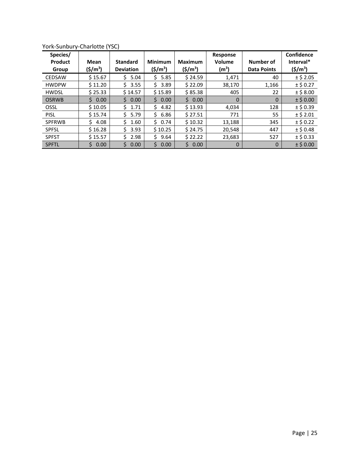| Species/<br>Product<br>Group | Mean<br>$(5/m^3)$ | <b>Standard</b><br><b>Deviation</b> | <b>Minimum</b><br>$(\frac{\xi}{m^3})$ | <b>Maximum</b><br>$(\$/m^3)$ | <b>Response</b><br>Volume<br>(m <sup>3</sup> ) | Number of<br><b>Data Points</b> | Confidence<br>Interval*<br>$(5/m^3)$ |
|------------------------------|-------------------|-------------------------------------|---------------------------------------|------------------------------|------------------------------------------------|---------------------------------|--------------------------------------|
| <b>CEDSAW</b>                | \$15.67           | 5.04<br>S                           | 5.85<br>S                             | \$24.59                      | 1,471                                          | 40                              | $±$ \$ 2.05                          |
| <b>HWDPW</b>                 | \$11.20           | 3.55                                | 3.89                                  | \$22.09                      | 38,170                                         | 1,166                           | $±$ \$ 0.27                          |
| <b>HWDSL</b>                 | \$25.33           | \$14.57                             | \$15.89                               | \$85.38                      | 405                                            | 22                              | $±$ \$ 8.00                          |
| <b>OSRWB</b>                 | Ś.<br>0.00        | Ś<br>0.00                           | Ś.<br>0.00                            | \$0.00                       | $\Omega$                                       | $\Omega$                        | $±$ \$ 0.00                          |
| OSSL                         | \$10.05           | 1.71<br>S                           | 4.82<br>S.                            | \$13.93                      | 4,034                                          | 128                             | $±$ \$ 0.39                          |
| <b>PISL</b>                  | \$15.74           | 5.79<br>Ś                           | 6.86<br>S.                            | \$27.51                      | 771                                            | 55                              | $±$ \$ 2.01                          |
| <b>SPFRWB</b>                | 4.08<br>S.        | 1.60<br>Ŝ.                          | 50.74                                 | \$10.32                      | 13,188                                         | 345                             | $±$ \$ 0.22                          |
| <b>SPFSL</b>                 | \$16.28           | Ś<br>3.93                           | \$10.25                               | \$24.75                      | 20,548                                         | 447                             | $±$ \$ 0.48                          |
| <b>SPFST</b>                 | \$15.57           | 2.98                                | 9.64<br>Ŝ.                            | \$22.22                      | 23,683                                         | 527                             | $±$ \$ 0.33                          |
| <b>SPFTL</b>                 | Ś.<br>0.00        | Ś.<br>0.00                          | Ś.<br>0.00                            | Ś.<br>0.00                   | $\Omega$                                       | 0                               | $±$ \$ 0.00                          |

York-Sunbury-Charlotte (YSC)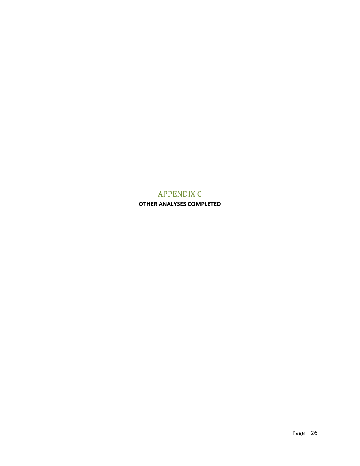## APPENDIX C

<span id="page-26-0"></span>**OTHER ANALYSES COMPLETED**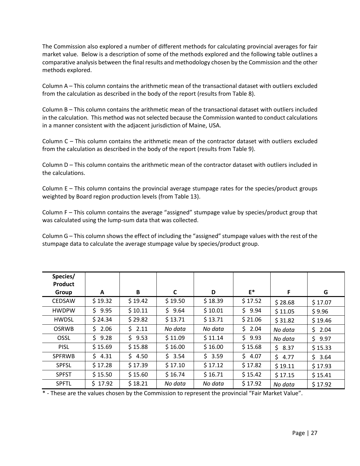The Commission also explored a number of different methods for calculating provincial averages for fair market value. Below is a description of some of the methods explored and the following table outlines a comparative analysis between the final results and methodology chosen by the Commission and the other methods explored.

Column A – This column contains the arithmetic mean of the transactional dataset with outliers excluded from the calculation as described in the body of the report (results from Table 8).

Column B – This column contains the arithmetic mean of the transactional dataset with outliers included in the calculation. This method was not selected because the Commission wanted to conduct calculations in a manner consistent with the adjacent jurisdiction of Maine, USA.

Column C – This column contains the arithmetic mean of the contractor dataset with outliers excluded from the calculation as described in the body of the report (results from Table 9).

Column D – This column contains the arithmetic mean of the contractor dataset with outliers included in the calculations.

Column  $E -$  This column contains the provincial average stumpage rates for the species/product groups weighted by Board region production levels (from Table 13).

Column F – This column contains the average "assigned" stumpage value by species/product group that was calculated using the lump-sum data that was collected.

Column G – This column shows the effect of including the "assigned" stumpage values with the rest of the stumpage data to calculate the average stumpage value by species/product group.

| Species/<br>Product |            |         |             |            |         |         |            |
|---------------------|------------|---------|-------------|------------|---------|---------|------------|
| Group               | A          | B       | C           | D          | $E^*$   | F       | G          |
| <b>CEDSAW</b>       | \$19.32    | \$19.42 | \$19.50     | \$18.39    | \$17.52 | \$28.68 | \$17.07    |
| <b>HWDPW</b>        | Ś.<br>9.95 | \$10.11 | \$.<br>9.64 | \$10.01    | \$9.94  | \$11.05 | \$9.96     |
| <b>HWDSL</b>        | \$24.34    | \$29.82 | \$13.71     | \$13.71    | \$21.06 | \$31.82 | \$19.46    |
| <b>OSRWB</b>        | 2.06<br>Ś. | \$2.11  | No data     | No data    | \$2.04  | No data | \$<br>2.04 |
| OSSL                | 9.28<br>Ś. | \$9.53  | \$11.09     | \$11.14    | \$9.93  | No data | \$<br>9.97 |
| <b>PISL</b>         | \$15.69    | \$15.88 | \$16.00     | \$16.00    | \$15.68 | \$8.37  | \$15.33    |
| <b>SPFRWB</b>       | 54.31      | \$4.50  | \$3.54      | Ś.<br>3.59 | \$4.07  | \$4.77  | \$<br>3.64 |
| <b>SPFSL</b>        | \$17.28    | \$17.39 | \$17.10     | \$17.12    | \$17.82 | \$19.11 | \$17.93    |
| <b>SPFST</b>        | \$15.50    | \$15.60 | \$16.74     | \$16.71    | \$15.42 | \$17.15 | \$15.41    |
| <b>SPFTL</b>        | \$17.92    | \$18.21 | No data     | No data    | \$17.92 | No data | \$17.92    |

\* - These are the values chosen by the Commission to represent the provincial "Fair Market Value".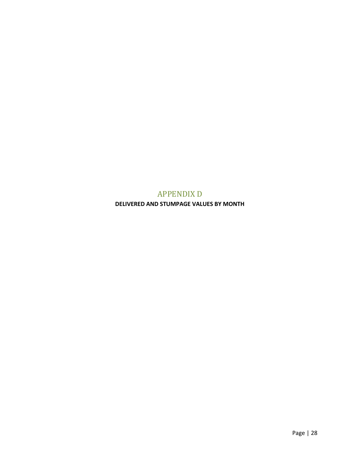# APPENDIX D

<span id="page-28-0"></span>**DELIVERED AND STUMPAGE VALUES BY MONTH**